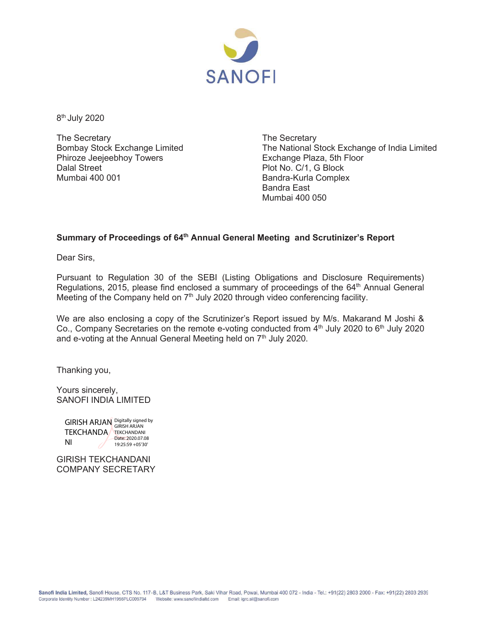

8<sup>th</sup> July 2020

The Secretary Bombay Stock Exchange Limited Phiroze Jeejeebhoy Towers Dalal Street Mumbai 400 001

The Secretary The National Stock Exchange of India Limited Exchange Plaza, 5th Floor Plot No. C/1, G Block Bandra-Kurla Complex Bandra East Mumbai 400 050

## **Summary of Proceedings of 64th Annual General Meeting and Scrutinizer's Report**

Dear Sirs,

Pursuant to Regulation 30 of the SEBI (Listing Obligations and Disclosure Requirements) Regulations, 2015, please find enclosed a summary of proceedings of the 64<sup>th</sup> Annual General Meeting of the Company held on  $7<sup>th</sup>$  July 2020 through video conferencing facility.

We are also enclosing a copy of the Scrutinizer's Report issued by M/s. Makarand M Joshi & Co., Company Secretaries on the remote e-voting conducted from 4<sup>th</sup> July 2020 to 6<sup>th</sup> July 2020 and e-voting at the Annual General Meeting held on 7<sup>th</sup> July 2020.

Thanking you,

Yours sincerely, SANOFI INDIA LIMITED

GIRISH ARJAN Digitally signed by TEKCHANDA TEKCHANDANI NI Date: 2020.07.08 19:25:59 +05'30'

GIRISH TEKCHANDANI COMPANY SECRETARY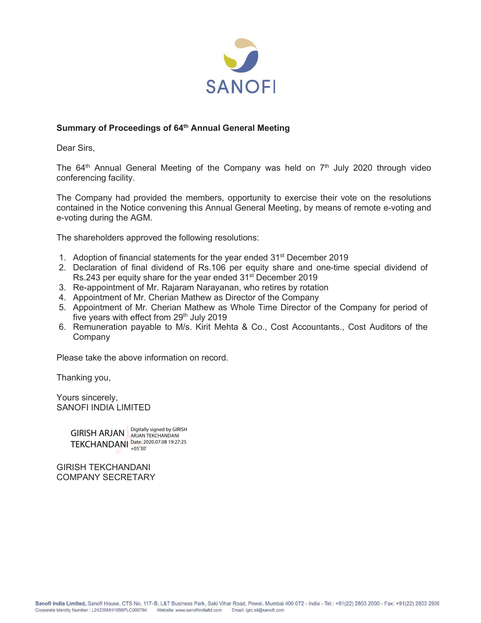

#### **Summary of Proceedings of 64th Annual General Meeting**

Dear Sirs,

The  $64<sup>th</sup>$  Annual General Meeting of the Company was held on  $7<sup>th</sup>$  July 2020 through video conferencing facility.

The Company had provided the members, opportunity to exercise their vote on the resolutions contained in the Notice convening this Annual General Meeting, by means of remote e-voting and e-voting during the AGM.

The shareholders approved the following resolutions:

- 1. Adoption of financial statements for the year ended 31<sup>st</sup> December 2019
- 2. Declaration of final dividend of Rs.106 per equity share and one-time special dividend of Rs. 243 per equity share for the year ended 31<sup>st</sup> December 2019
- 3. Re-appointment of Mr. Rajaram Narayanan, who retires by rotation
- 4. Appointment of Mr. Cherian Mathew as Director of the Company
- 5. Appointment of Mr. Cherian Mathew as Whole Time Director of the Company for period of five years with effect from  $29<sup>th</sup>$  July 2019
- 6. Remuneration payable to M/s. Kirit Mehta & Co., Cost Accountants., Cost Auditors of the **Company**

Please take the above information on record.

Thanking you,

Yours sincerely, SANOFI INDIA LIMITED

> GIRISH ARJAN ARJAN TEKCHANDANI TEKCHANDANI Date: 2020.07.08 19:27:25 ARJAN TEKCHANDANI +05'30'

GIRISH TEKCHANDANI COMPANY SECRETARY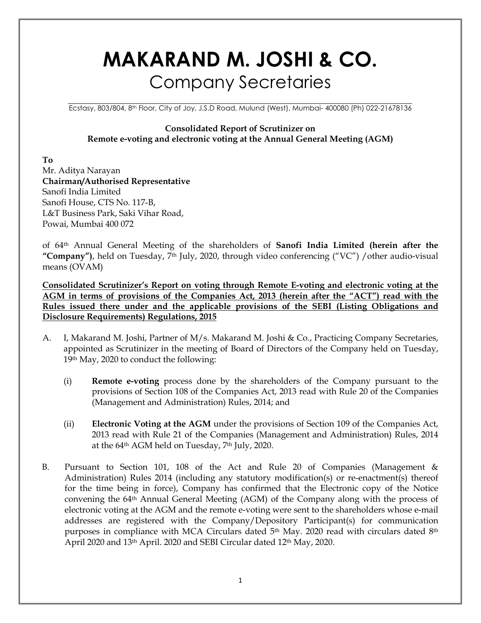# **MAKARAND M. JOSHI & CO. Company Secretaries**

Ecstasy, 803/804, 8<sup>th</sup> Floor, City of Joy, J.S.D Road, Mulund (West), Mumbai- 400080 (Ph) 022-21678136

#### **Consolidated Report of Scrutinizer on** Remote e-voting and electronic voting at the Annual General Meeting (AGM)

T<sub>o</sub> Mr. Aditya Narayan Chairman/Authorised Representative Sanofi India Limited Sanofi House, CTS No. 117-B, L&T Business Park, Saki Vihar Road, Powai, Mumbai 400 072

of 64th Annual General Meeting of the shareholders of **Sanofi India Limited (herein after the** "Company"), held on Tuesday, 7<sup>th</sup> July, 2020, through video conferencing ("VC") / other audio-visual means (OVAM)

Consolidated Scrutinizer's Report on voting through Remote E-voting and electronic voting at the AGM in terms of provisions of the Companies Act, 2013 (herein after the "ACT") read with the Rules issued there under and the applicable provisions of the SEBI (Listing Obligations and **Disclosure Requirements) Regulations, 2015** 

- A. I, Makarand M. Joshi, Partner of M/s. Makarand M. Joshi & Co., Practicing Company Secretaries, appointed as Scrutinizer in the meeting of Board of Directors of the Company held on Tuesday, 19th May, 2020 to conduct the following:
	- **Remote e-voting** process done by the shareholders of the Company pursuant to the  $(i)$ provisions of Section 108 of the Companies Act, 2013 read with Rule 20 of the Companies (Management and Administration) Rules, 2014; and
	- $(ii)$ **Electronic Voting at the AGM** under the provisions of Section 109 of the Companies Act, 2013 read with Rule 21 of the Companies (Management and Administration) Rules, 2014 at the 64<sup>th</sup> AGM held on Tuesday, 7<sup>th</sup> July, 2020.
- $B<sub>1</sub>$ Pursuant to Section 101, 108 of the Act and Rule 20 of Companies (Management & Administration) Rules 2014 (including any statutory modification(s) or re-enactment(s) thereof for the time being in force), Company has confirmed that the Electronic copy of the Notice convening the 64<sup>th</sup> Annual General Meeting (AGM) of the Company along with the process of electronic voting at the AGM and the remote e-voting were sent to the shareholders whose e-mail addresses are registered with the Company/Depository Participant(s) for communication purposes in compliance with MCA Circulars dated 5<sup>th</sup> May. 2020 read with circulars dated 8<sup>th</sup> April 2020 and 13th April. 2020 and SEBI Circular dated 12th May, 2020.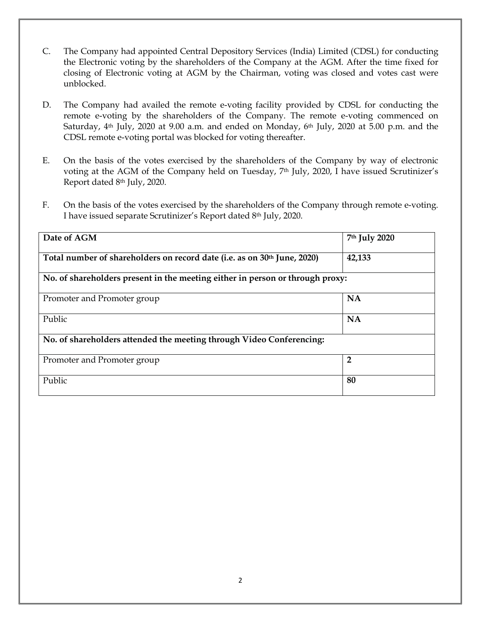- $C_{\cdot}$ The Company had appointed Central Depository Services (India) Limited (CDSL) for conducting the Electronic voting by the shareholders of the Company at the AGM. After the time fixed for closing of Electronic voting at AGM by the Chairman, voting was closed and votes cast were unblocked.
- The Company had availed the remote e-voting facility provided by CDSL for conducting the D. remote e-voting by the shareholders of the Company. The remote e-voting commenced on Saturday, 4<sup>th</sup> July, 2020 at 9.00 a.m. and ended on Monday, 6<sup>th</sup> July, 2020 at 5.00 p.m. and the CDSL remote e-voting portal was blocked for voting thereafter.
- E. On the basis of the votes exercised by the shareholders of the Company by way of electronic voting at the AGM of the Company held on Tuesday, 7th July, 2020, I have issued Scrutinizer's Report dated 8th July, 2020.
- On the basis of the votes exercised by the shareholders of the Company through remote e-voting.  $F_{\cdot}$ I have issued separate Scrutinizer's Report dated 8th July, 2020.

| Date of AGM                                                                   | 7th July 2020  |  |  |  |  |  |  |
|-------------------------------------------------------------------------------|----------------|--|--|--|--|--|--|
| Total number of shareholders on record date (i.e. as on 30th June, 2020)      | 42,133         |  |  |  |  |  |  |
| No. of shareholders present in the meeting either in person or through proxy: |                |  |  |  |  |  |  |
| Promoter and Promoter group                                                   | <b>NA</b>      |  |  |  |  |  |  |
| Public                                                                        | <b>NA</b>      |  |  |  |  |  |  |
| No. of shareholders attended the meeting through Video Conferencing:          |                |  |  |  |  |  |  |
| Promoter and Promoter group                                                   | $\overline{2}$ |  |  |  |  |  |  |
| Public                                                                        | 80             |  |  |  |  |  |  |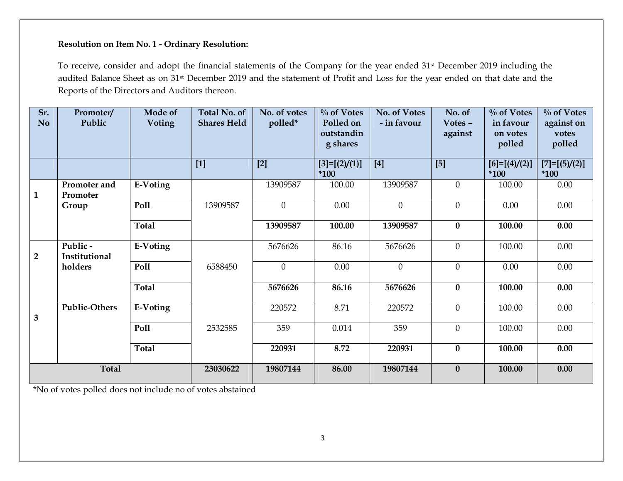#### Resolution on Item No. 1 - Ordinary Resolution:

To receive, consider and adopt the financial statements of the Company for the year ended 31<sup>st</sup> December 2019 including the audited Balance Sheet as on 31<sup>st</sup> December 2019 and the statement of Profit and Loss for the year ended on that date and the Reports of the Directors and Auditors thereon.

| Sr.<br><b>No</b> | Promoter/<br>Public      | Mode of<br><b>Voting</b> | Total No. of<br><b>Shares Held</b> | No. of votes<br>polled* | $\%$ of Votes<br>Polled on<br>outstandin<br>g shares | No. of Votes<br>- in favour | No. of<br>Votes -<br>against | $\%$ of Votes<br>in favour<br>on votes<br>polled | $\%$ of Votes<br>against on<br>votes<br>polled |
|------------------|--------------------------|--------------------------|------------------------------------|-------------------------|------------------------------------------------------|-----------------------------|------------------------------|--------------------------------------------------|------------------------------------------------|
|                  |                          |                          | $[1]$                              | $[2]$                   | $[3]=[2]/(1)]$<br>$*100$                             | $[4]$                       | $[5]$                        | $[6]=[ (4)/(2)]$<br>$*100$                       | $[7]=[ (5)/(2)]$<br>$*100$                     |
| $\mathbf{1}$     | Promoter and<br>Promoter | E-Voting                 |                                    | 13909587                | 100.00                                               | 13909587                    | $\mathbf{0}$                 | 100.00                                           | 0.00                                           |
|                  | Group                    | Poll                     | 13909587                           | $\boldsymbol{0}$        | 0.00                                                 | $\boldsymbol{0}$            | $\mathbf{0}$                 | 0.00                                             | 0.00                                           |
|                  |                          | <b>Total</b>             |                                    | 13909587                | 100.00                                               | 13909587                    | $\bf{0}$                     | 100.00                                           | 0.00                                           |
| $\overline{2}$   | Public-<br>Institutional | E-Voting                 |                                    | 5676626                 | 86.16                                                | 5676626                     | $\mathbf{0}$                 | 100.00                                           | 0.00                                           |
|                  | holders                  | Poll                     | 6588450                            | $\overline{0}$          | $0.00\,$                                             | $\boldsymbol{0}$            | $\mathbf{0}$                 | 0.00                                             | 0.00                                           |
|                  |                          | <b>Total</b>             |                                    | 5676626                 | 86.16                                                | 5676626                     | $\bf{0}$                     | 100.00                                           | 0.00                                           |
| 3                | <b>Public-Others</b>     | E-Voting                 |                                    | 220572                  | 8.71                                                 | 220572                      | $\boldsymbol{0}$             | 100.00                                           | 0.00                                           |
|                  |                          | Poll                     | 2532585                            | 359                     | 0.014                                                | 359                         | $\boldsymbol{0}$             | 100.00                                           | 0.00                                           |
|                  |                          | <b>Total</b>             |                                    | 220931                  | 8.72                                                 | 220931                      | $\bf{0}$                     | 100.00                                           | 0.00                                           |
| <b>Total</b>     |                          | 23030622                 | 19807144                           | 86.00                   | 19807144                                             | $\boldsymbol{0}$            | 100.00                       | 0.00                                             |                                                |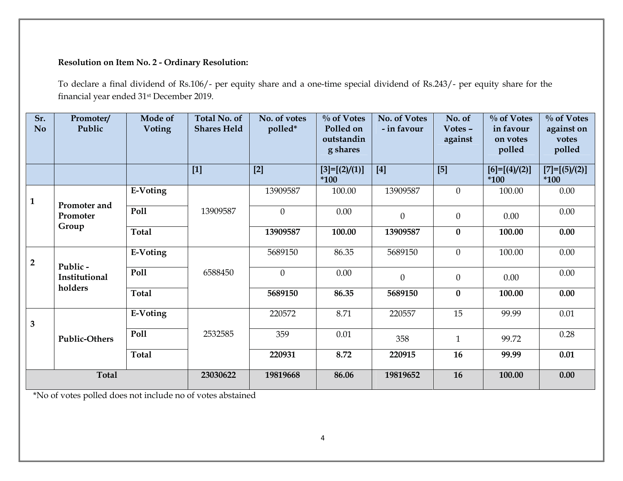## **Resolution on Item No. 2 - Ordinary Resolution:**

To declare a final dividend of Rs.106/- per equity share and a one-time special dividend of Rs.243/- per equity share for the financial year ended 31<sup>st</sup> December 2019.

| Sr.<br>No      | Promoter/<br>Public      | Mode of<br>Voting | Total No. of<br><b>Shares Held</b> | No. of votes<br>polled* | $\%$ of Votes<br>Polled on<br>outstandin<br>g shares | No. of Votes<br>- in favour | No. of<br>Votes -<br>against | $\%$ of Votes<br>in favour<br>on votes<br>polled | $\%$ of Votes<br>against on<br>votes<br>polled |
|----------------|--------------------------|-------------------|------------------------------------|-------------------------|------------------------------------------------------|-----------------------------|------------------------------|--------------------------------------------------|------------------------------------------------|
|                |                          |                   | $[1]$                              | $[2]$                   | $[3]=[2]/(1)]$<br>*100                               | $[4]$                       | $[5]$                        | $[6]=[ (4)/(2)]$<br>$*100$                       | $[7]=[5]/(2)]$<br>$*100$                       |
| $\mathbf{1}$   | Promoter and             | E-Voting          |                                    | 13909587                | 100.00                                               | 13909587                    | $\theta$                     | 100.00                                           | 0.00                                           |
|                | Promoter                 | Poll              | 13909587                           | $\theta$                | 0.00                                                 | $\mathbf{0}$                | $\theta$                     | 0.00                                             | 0.00                                           |
|                | Group                    | <b>Total</b>      |                                    | 13909587                | 100.00                                               | 13909587                    | $\boldsymbol{0}$             | 100.00                                           | 0.00                                           |
| $\overline{2}$ | Public-                  | E-Voting          |                                    | 5689150                 | 86.35                                                | 5689150                     | $\theta$                     | 100.00                                           | 0.00                                           |
|                | Institutional<br>holders | Poll              | 6588450                            | $\overline{0}$          | $0.00\,$                                             | $\Omega$                    | $\theta$                     | 0.00                                             | 0.00                                           |
|                |                          | <b>Total</b>      |                                    | 5689150                 | 86.35                                                | 5689150                     | $\bf{0}$                     | 100.00                                           | 0.00                                           |
| $\overline{3}$ |                          | E-Voting          |                                    | 220572                  | 8.71                                                 | 220557                      | 15                           | 99.99                                            | 0.01                                           |
|                | <b>Public-Others</b>     | Poll              | 2532585                            | 359                     | 0.01                                                 | 358                         | $\mathbf{1}$                 | 99.72                                            | 0.28                                           |
|                |                          | <b>Total</b>      |                                    | 220931                  | 8.72                                                 | 220915                      | 16                           | 99.99                                            | 0.01                                           |
| <b>Total</b>   |                          |                   | 23030622                           | 19819668                | 86.06                                                | 19819652                    | 16                           | 100.00                                           | 0.00                                           |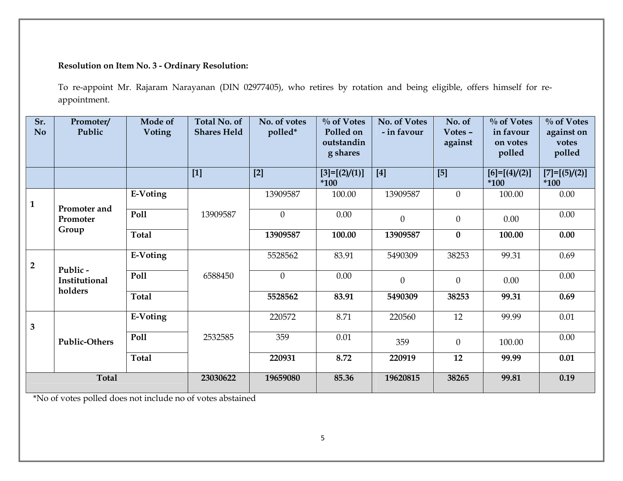## **Resolution on Item No. 3 - Ordinary Resolution:**

To re-appoint Mr. Rajaram Narayanan (DIN 02977405), who retires by rotation and being eligible, offers himself for reappointment.

| Sr.<br><b>No</b> | Promoter/<br>Public       | Mode of<br>Voting | Total No. of<br><b>Shares Held</b> | No. of votes<br>polled* | $\%$ of Votes<br>Polled on<br>outstandin<br>g shares | No. of Votes<br>- in favour | No. of<br>Votes -<br>against | $\%$ of Votes<br>in favour<br>on votes<br>polled | $\%$ of Votes<br>against on<br>votes<br>polled |
|------------------|---------------------------|-------------------|------------------------------------|-------------------------|------------------------------------------------------|-----------------------------|------------------------------|--------------------------------------------------|------------------------------------------------|
|                  |                           |                   | $[1]$                              | $[2]$                   | $[3]=[2]/(1)]$<br>$*100$                             | $[4]$                       | [5]                          | $[6]=[ (4)/(2)]$<br>*100                         | $[7]=[ (5)/(2)]$<br>$*100$                     |
| $\mathbf{1}$     | Promoter and              | E-Voting          |                                    | 13909587                | 100.00                                               | 13909587                    | $\theta$                     | 100.00                                           | 0.00                                           |
|                  | Promoter                  | Poll              | 13909587                           | $\theta$                | 0.00                                                 | $\overline{0}$              | $\theta$                     | 0.00                                             | 0.00                                           |
|                  | Group                     | <b>Total</b>      |                                    | 13909587                | 100.00                                               | 13909587                    | $\boldsymbol{0}$             | 100.00                                           | 0.00                                           |
| $\overline{2}$   |                           | E-Voting          |                                    | 5528562                 | 83.91                                                | 5490309                     | 38253                        | 99.31                                            | 0.69                                           |
|                  | Public -<br>Institutional | Poll              | 6588450                            | $\overline{0}$          | 0.00                                                 | $\Omega$                    | $\theta$                     | 0.00                                             | 0.00                                           |
|                  | holders                   | <b>Total</b>      |                                    | 5528562                 | 83.91                                                | 5490309                     | 38253                        | 99.31                                            | 0.69                                           |
| 3 <sup>1</sup>   | <b>Public-Others</b>      | E-Voting          |                                    | 220572                  | 8.71                                                 | 220560                      | 12                           | 99.99                                            | 0.01                                           |
|                  |                           | Poll              | 2532585                            | 359                     | 0.01                                                 | 359                         | $\mathbf{0}$                 | 100.00                                           | 0.00                                           |
|                  |                           | <b>Total</b>      |                                    | 220931                  | 8.72                                                 | 220919                      | 12                           | 99.99                                            | $0.01\,$                                       |
| <b>Total</b>     |                           |                   | 23030622                           | 19659080                | 85.36                                                | 19620815                    | 38265                        | 99.81                                            | 0.19                                           |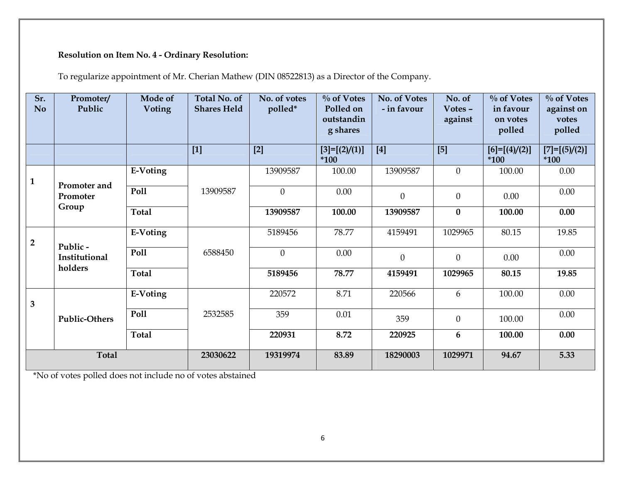# Resolution on Item No. 4 - Ordinary Resolution:

To regularize appointment of Mr. Cherian Mathew (DIN 08522813) as a Director of the Company.

| Sr.<br>No.              | Promoter/<br>Public      | Mode of<br>Voting | <b>Total No. of</b><br><b>Shares Held</b> | No. of votes<br>polled* | $\%$ of Votes<br>Polled on<br>outstandin<br>g shares | No. of Votes<br>- in favour | No. of<br>Votes $-$<br>against | $\%$ of Votes<br>in favour<br>on votes<br>polled | $\%$ of Votes<br>against on<br>votes<br>polled |
|-------------------------|--------------------------|-------------------|-------------------------------------------|-------------------------|------------------------------------------------------|-----------------------------|--------------------------------|--------------------------------------------------|------------------------------------------------|
|                         |                          |                   | $[1]$                                     | $[2]$                   | $[3]=[2]/(1)]$<br>*100                               | $[4]$                       | $[5]$                          | $[6]=[ (4)/(2)]$<br>$*100$                       | $[7]=[5]/(2)]$<br>$*100$                       |
| $\mathbf{1}$            | Promoter and             | E-Voting          |                                           | 13909587                | 100.00                                               | 13909587                    | $\theta$                       | 100.00                                           | 0.00                                           |
|                         | Promoter                 | <b>Poll</b>       | 13909587                                  | $\theta$                | 0.00                                                 | $\overline{0}$              | $\mathbf{0}$                   | 0.00                                             | 0.00                                           |
|                         | Group                    | <b>Total</b>      |                                           | 13909587                | 100.00                                               | 13909587                    | $\bf{0}$                       | 100.00                                           | 0.00                                           |
| $\overline{2}$          |                          | E-Voting          |                                           | 5189456                 | 78.77                                                | 4159491                     | 1029965                        | 80.15                                            | 19.85                                          |
|                         | Public-<br>Institutional | Poll              | 6588450                                   | $\overline{0}$          | 0.00                                                 | $\Omega$                    | $\theta$                       | 0.00                                             | $0.00\,$                                       |
|                         | holders                  | <b>Total</b>      |                                           | 5189456                 | 78.77                                                | 4159491                     | 1029965                        | 80.15                                            | 19.85                                          |
| $\overline{\mathbf{3}}$ |                          | E-Voting          |                                           | 220572                  | 8.71                                                 | 220566                      | 6                              | 100.00                                           | 0.00                                           |
|                         | <b>Public-Others</b>     | <b>Poll</b>       | 2532585                                   | 359                     | $0.01\,$                                             | 359                         | $\mathbf{0}$                   | 100.00                                           | $0.00\,$                                       |
|                         |                          | <b>Total</b>      |                                           | 220931                  | 8.72                                                 | 220925                      | 6                              | 100.00                                           | 0.00                                           |
| <b>Total</b>            |                          |                   | 23030622                                  | 19319974                | 83.89                                                | 18290003                    | 1029971                        | 94.67                                            | 5.33                                           |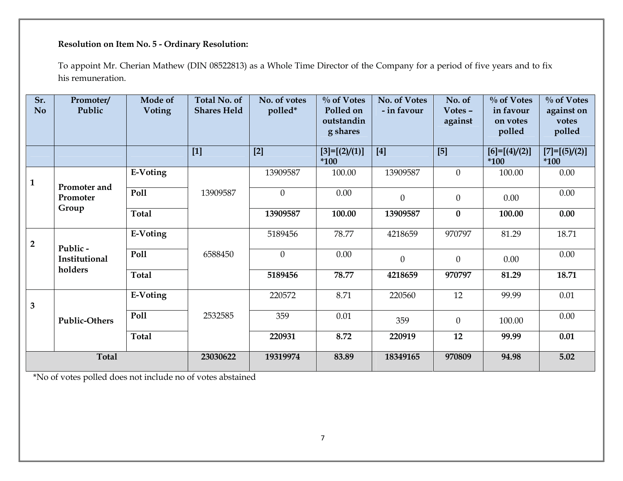# Resolution on Item No. 5 - Ordinary Resolution:

To appoint Mr. Cherian Mathew (DIN 08522813) as a Whole Time Director of the Company for a period of five years and to fix his remuneration.

| Sr.<br>No.     | Promoter/<br>Public      | Mode of<br><b>Voting</b> | <b>Total No. of</b><br><b>Shares Held</b> | No. of votes<br>polled* | $\%$ of Votes<br>Polled on<br>outstandin<br>g shares | No. of Votes<br>- in favour | No. of<br>Votes $-$<br>against | $\%$ of Votes<br>in favour<br>on votes<br>polled | $\%$ of Votes<br>against on<br>votes<br>polled |
|----------------|--------------------------|--------------------------|-------------------------------------------|-------------------------|------------------------------------------------------|-----------------------------|--------------------------------|--------------------------------------------------|------------------------------------------------|
|                |                          |                          | $[1]$                                     | $[2]$                   | $[3]=[2]/(1)]$<br>$*100$                             | $[4]$                       | $[5]$                          | $[6]=[ (4)/(2)]$<br>$*100$                       | $[7]=[5]/(2)]$<br>$*100$                       |
| $\mathbf{1}$   | Promoter and             | E-Voting                 |                                           | 13909587                | 100.00                                               | 13909587                    | $\mathbf{0}$                   | 100.00                                           | 0.00                                           |
|                | Promoter                 | Poll                     | 13909587                                  | $\Omega$                | 0.00                                                 | $\mathbf{0}$                | $\boldsymbol{0}$               | 0.00                                             | 0.00                                           |
|                | Group                    | <b>Total</b>             |                                           | 13909587                | 100.00                                               | 13909587                    | $\bf{0}$                       | 100.00                                           | 0.00                                           |
| $\overline{2}$ |                          | E-Voting                 |                                           | 5189456                 | 78.77                                                | 4218659                     | 970797                         | 81.29                                            | 18.71                                          |
|                | Public-<br>Institutional | <b>Poll</b>              | 6588450                                   | $\overline{0}$          | 0.00                                                 | $\theta$                    | $\theta$                       | 0.00                                             | 0.00                                           |
|                | holders                  | <b>Total</b>             |                                           | 5189456                 | 78.77                                                | 4218659                     | 970797                         | 81.29                                            | 18.71                                          |
| $\overline{3}$ |                          | E-Voting                 |                                           | 220572                  | 8.71                                                 | 220560                      | 12                             | 99.99                                            | 0.01                                           |
|                | <b>Public-Others</b>     | Poll                     | 2532585                                   | 359                     | 0.01                                                 | 359                         | $\boldsymbol{0}$               | 100.00                                           | 0.00                                           |
|                |                          | <b>Total</b>             |                                           | 220931                  | 8.72                                                 | 220919                      | 12                             | 99.99                                            | 0.01                                           |
| <b>Total</b>   |                          | 23030622                 | 19319974                                  | 83.89                   | 18349165                                             | 970809                      | 94.98                          | 5.02                                             |                                                |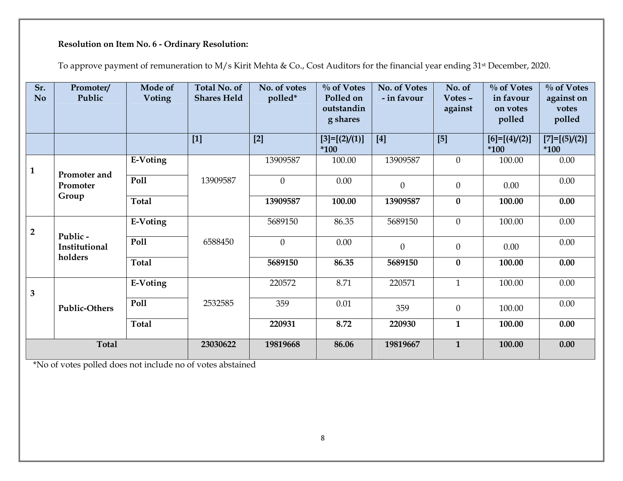# Resolution on Item No. 6 - Ordinary Resolution:

To approve payment of remuneration to M/s Kirit Mehta & Co., Cost Auditors for the financial year ending 31<sup>st</sup> December, 2020.

| Sr.<br><b>No</b> | Promoter/<br>Public      | Mode of<br><b>Voting</b> | <b>Total No. of</b><br><b>Shares Held</b> | No. of votes<br>polled* | $\%$ of Votes<br>Polled on<br>outstandin<br>g shares | No. of Votes<br>- in favour | No. of<br>Votes -<br>against | $\%$ of Votes<br>in favour<br>on votes<br>polled | $\%$ of Votes<br>against on<br>votes<br>polled |
|------------------|--------------------------|--------------------------|-------------------------------------------|-------------------------|------------------------------------------------------|-----------------------------|------------------------------|--------------------------------------------------|------------------------------------------------|
|                  |                          |                          | $[1]$                                     | $[2]$                   | $[3]=[2]/(1)]$<br>$*100$                             | $[4]$                       | $[5]$                        | $[6]=[ (4)/(2)]$<br>$*100$                       | $[7]=[5]/(2)]$<br>$*100$                       |
| $\mathbf{1}$     |                          | E-Voting                 |                                           | 13909587                | 100.00                                               | 13909587                    | $\overline{0}$               | 100.00                                           | 0.00                                           |
|                  | Promoter and<br>Promoter | Poll                     | 13909587                                  | $\theta$                | 0.00                                                 | $\theta$                    | $\overline{0}$               | 0.00                                             | 0.00                                           |
|                  | Group                    | <b>Total</b>             |                                           | 13909587                | 100.00                                               | 13909587                    | $\bf{0}$                     | 100.00                                           | 0.00                                           |
| $\overline{2}$   | Public -                 | E-Voting                 |                                           | 5689150                 | 86.35                                                | 5689150                     | $\mathbf{0}$                 | 100.00                                           | 0.00                                           |
|                  | Institutional            | Poll                     | 6588450                                   | $\theta$                | 0.00                                                 | $\mathbf{0}$                | $\Omega$                     | 0.00                                             | 0.00                                           |
|                  | holders                  | <b>Total</b>             |                                           | 5689150                 | 86.35                                                | 5689150                     | $\bf{0}$                     | 100.00                                           | 0.00                                           |
| $\overline{3}$   | <b>Public-Others</b>     | E-Voting                 |                                           | 220572                  | 8.71                                                 | 220571                      | $\mathbf{1}$                 | 100.00                                           | 0.00                                           |
|                  |                          | Poll                     | 2532585                                   | 359                     | 0.01                                                 | 359                         | $\overline{0}$               | 100.00                                           | 0.00                                           |
|                  |                          | <b>Total</b>             |                                           | 220931                  | 8.72                                                 | 220930                      | $\mathbf{1}$                 | 100.00                                           | 0.00                                           |
| <b>Total</b>     |                          |                          | 23030622                                  | 19819668                | 86.06                                                | 19819667                    | $\mathbf{1}$                 | 100.00                                           | 0.00                                           |